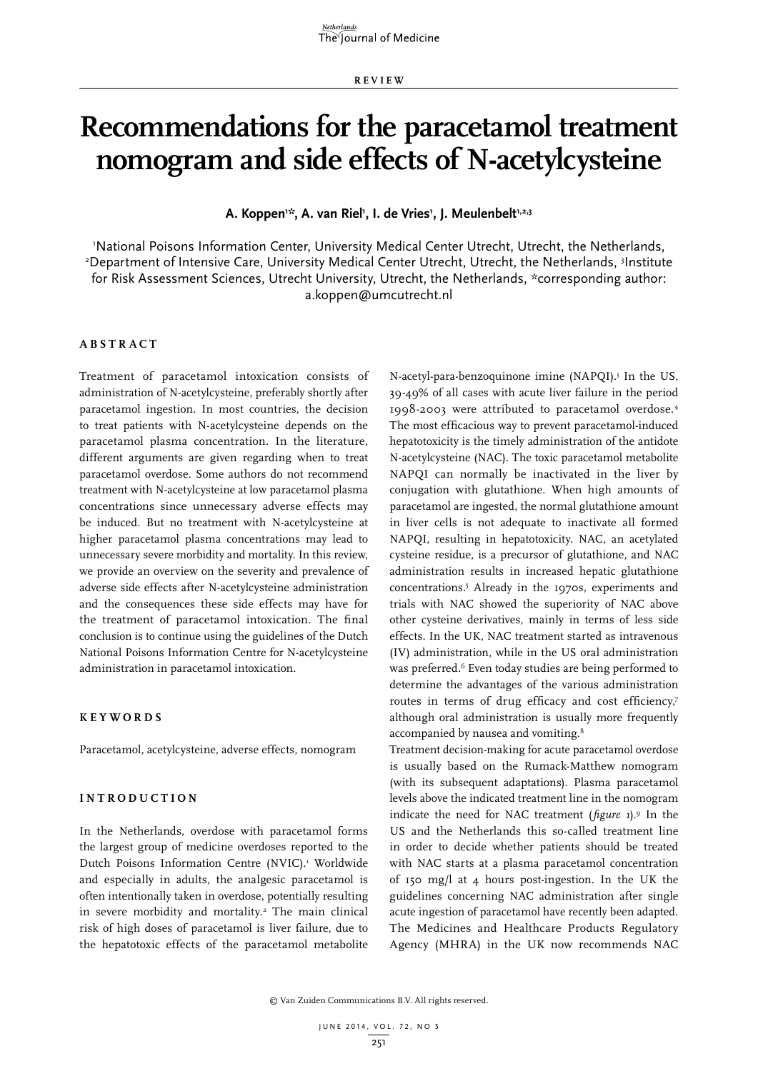**REVIEW**

# **Recommendations for the paracetamol treatment nomogram and side effects of N-acetylcysteine**

A. Koppen'\*, A. van Riel', I. de Vries', J. Meulenbelt'<sup>,2,3</sup>

1 National Poisons Information Center, University Medical Center Utrecht, Utrecht, the Netherlands, 2 Department of Intensive Care, University Medical Center Utrecht, Utrecht, the Netherlands, 3 Institute for Risk Assessment Sciences, Utrecht University, Utrecht, the Netherlands, \*corresponding author: a.koppen@umcutrecht.nl

## **ABSTRACT**

Treatment of paracetamol intoxication consists of administration of N-acetylcysteine, preferably shortly after paracetamol ingestion. In most countries, the decision to treat patients with N-acetylcysteine depends on the paracetamol plasma concentration. In the literature, different arguments are given regarding when to treat paracetamol overdose. Some authors do not recommend treatment with N-acetylcysteine at low paracetamol plasma concentrations since unnecessary adverse effects may be induced. But no treatment with N-acetylcysteine at higher paracetamol plasma concentrations may lead to unnecessary severe morbidity and mortality. In this review, we provide an overview on the severity and prevalence of adverse side effects after N-acetylcysteine administration and the consequences these side effects may have for the treatment of paracetamol intoxication. The final conclusion is to continue using the guidelines of the Dutch National Poisons Information Centre for N-acetylcysteine administration in paracetamol intoxication.

## **KEYWORDS**

Paracetamol, acetylcysteine, adverse effects, nomogram

#### **INTRODUCTION**

In the Netherlands, overdose with paracetamol forms the largest group of medicine overdoses reported to the Dutch Poisons Information Centre (NVIC).<sup>1</sup> Worldwide and especially in adults, the analgesic paracetamol is often intentionally taken in overdose, potentially resulting in severe morbidity and mortality.<sup>2</sup> The main clinical risk of high doses of paracetamol is liver failure, due to the hepatotoxic effects of the paracetamol metabolite

N-acetyl-para-benzoquinone imine (NAPQI).3 In the US, 39-49% of all cases with acute liver failure in the period 1998-2003 were attributed to paracetamol overdose.4 The most efficacious way to prevent paracetamol-induced hepatotoxicity is the timely administration of the antidote N-acetylcysteine (NAC). The toxic paracetamol metabolite NAPQI can normally be inactivated in the liver by conjugation with glutathione. When high amounts of paracetamol are ingested, the normal glutathione amount in liver cells is not adequate to inactivate all formed NAPQI, resulting in hepatotoxicity. NAC, an acetylated cysteine residue, is a precursor of glutathione, and NAC administration results in increased hepatic glutathione concentrations.5 Already in the 1970s, experiments and trials with NAC showed the superiority of NAC above other cysteine derivatives, mainly in terms of less side effects. In the UK, NAC treatment started as intravenous (IV) administration, while in the US oral administration was preferred.<sup>6</sup> Even today studies are being performed to determine the advantages of the various administration routes in terms of drug efficacy and cost efficiency,7 although oral administration is usually more frequently accompanied by nausea and vomiting.<sup>8</sup>

Treatment decision-making for acute paracetamol overdose is usually based on the Rumack-Matthew nomogram (with its subsequent adaptations). Plasma paracetamol levels above the indicated treatment line in the nomogram indicate the need for NAC treatment (*figure 1*).9 In the US and the Netherlands this so-called treatment line in order to decide whether patients should be treated with NAC starts at a plasma paracetamol concentration of 150 mg/l at 4 hours post-ingestion. In the UK the guidelines concerning NAC administration after single acute ingestion of paracetamol have recently been adapted. The Medicines and Healthcare Products Regulatory Agency (MHRA) in the UK now recommends NAC

© Van Zuiden Communications B.V. All rights reserved.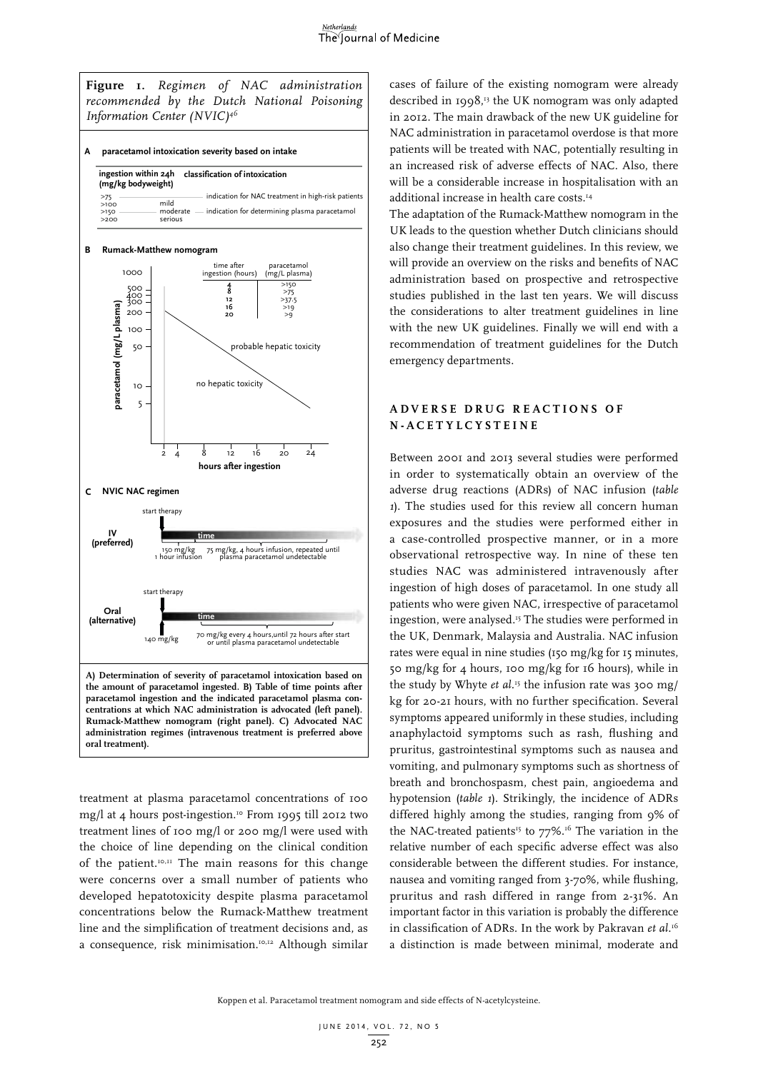

treatment at plasma paracetamol concentrations of 100 mg/l at 4 hours post-ingestion.10 From 1995 till 2012 two treatment lines of 100 mg/l or 200 mg/l were used with the choice of line depending on the clinical condition of the patient.10,11 The main reasons for this change were concerns over a small number of patients who developed hepatotoxicity despite plasma paracetamol concentrations below the Rumack-Matthew treatment line and the simplification of treatment decisions and, as a consequence, risk minimisation.<sup>10,12</sup> Although similar cases of failure of the existing nomogram were already described in 1998,<sup>13</sup> the UK nomogram was only adapted in 2012. The main drawback of the new UK guideline for NAC administration in paracetamol overdose is that more patients will be treated with NAC, potentially resulting in an increased risk of adverse effects of NAC. Also, there will be a considerable increase in hospitalisation with an additional increase in health care costs.14

The adaptation of the Rumack-Matthew nomogram in the UK leads to the question whether Dutch clinicians should also change their treatment guidelines. In this review, we will provide an overview on the risks and benefits of NAC administration based on prospective and retrospective studies published in the last ten years. We will discuss the considerations to alter treatment guidelines in line with the new UK guidelines. Finally we will end with a recommendation of treatment guidelines for the Dutch emergency departments.

## **A D V E R S E D R U G R E A C T I O N S O F N-ACETYLCYSTEINE**

Between 2001 and 2013 several studies were performed in order to systematically obtain an overview of the adverse drug reactions (ADRs) of NAC infusion (*table 1*). The studies used for this review all concern human exposures and the studies were performed either in a case-controlled prospective manner, or in a more observational retrospective way. In nine of these ten studies NAC was administered intravenously after ingestion of high doses of paracetamol. In one study all patients who were given NAC, irrespective of paracetamol ingestion, were analysed.15 The studies were performed in the UK, Denmark, Malaysia and Australia. NAC infusion rates were equal in nine studies (150 mg/kg for 15 minutes, 50 mg/kg for 4 hours, 100 mg/kg for 16 hours), while in the study by Whyte *et al.*<sup>15</sup> the infusion rate was 300 mg/ kg for 20-21 hours, with no further specification. Several symptoms appeared uniformly in these studies, including anaphylactoid symptoms such as rash, flushing and pruritus, gastrointestinal symptoms such as nausea and vomiting, and pulmonary symptoms such as shortness of breath and bronchospasm, chest pain, angioedema and hypotension (*table 1*). Strikingly, the incidence of ADRs differed highly among the studies, ranging from 9% of the NAC-treated patients<sup>15</sup> to  $77\%$ .<sup>16</sup> The variation in the relative number of each specific adverse effect was also considerable between the different studies. For instance, nausea and vomiting ranged from 3-70%, while flushing, pruritus and rash differed in range from 2-31%. An important factor in this variation is probably the difference in classification of ADRs. In the work by Pakravan *et al.*<sup>16</sup> a distinction is made between minimal, moderate and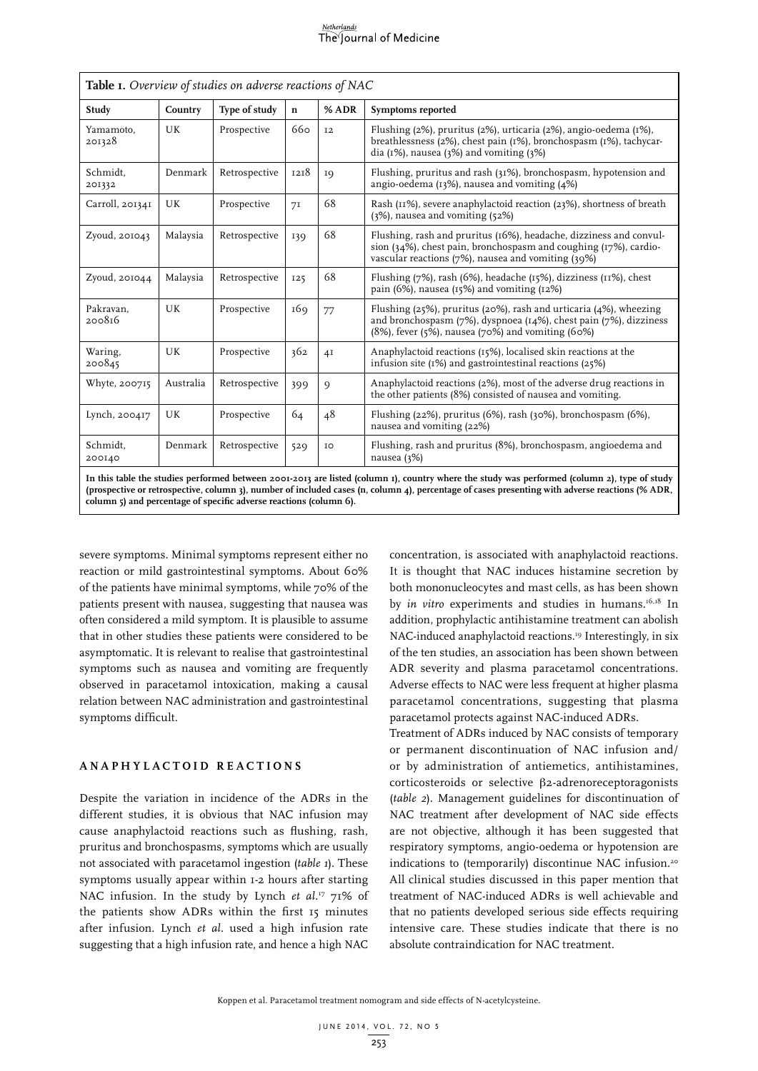#### <u>Netherlands</u> The Journal of Medicine

| Table 1. Overview of studies on adverse reactions of NAC                                                                                     |           |               |             |           |                                                                                                                                                                                                                    |  |  |
|----------------------------------------------------------------------------------------------------------------------------------------------|-----------|---------------|-------------|-----------|--------------------------------------------------------------------------------------------------------------------------------------------------------------------------------------------------------------------|--|--|
| Study                                                                                                                                        | Country   | Type of study | $\mathbf n$ | % ADR     | Symptoms reported                                                                                                                                                                                                  |  |  |
| Yamamoto.<br>201328                                                                                                                          | UK        | Prospective   | 660         | <b>I2</b> | Flushing (2%), pruritus (2%), urticaria (2%), angio-oedema (1%),<br>breathlessness $(2\%)$ , chest pain $(1\%)$ , bronchospasm $(1\%)$ , tachycar-<br>dia ( $I\%$ ), nausea ( $3\%$ ) and vomiting ( $3\%$ )       |  |  |
| Schmidt.<br>201332                                                                                                                           | Denmark   | Retrospective | 1218        | IQ        | Flushing, pruritus and rash (31%), bronchospasm, hypotension and<br>angio-oedema $(13\%)$ , nausea and vomiting $(4\%)$                                                                                            |  |  |
| Carroll, 201341                                                                                                                              | UK        | Prospective   | 71          | 68        | Rash (II%), severe anaphylactoid reaction (23%), shortness of breath<br>$(3\%)$ , nausea and vomiting $(52\%)$                                                                                                     |  |  |
| Zyoud, 201043                                                                                                                                | Malaysia  | Retrospective | 139         | 68        | Flushing, rash and pruritus (16%), headache, dizziness and convul-<br>sion ( $34\%$ ), chest pain, bronchospasm and coughing ( $17\%$ ), cardio-<br>vascular reactions (7%), nausea and vomiting (39%)             |  |  |
| Zyoud, $201044$                                                                                                                              | Malaysia  | Retrospective | 125         | 68        | Flushing $(7%)$ , rash $(6%)$ , headache $(15%)$ , dizziness $(11%)$ , chest<br>pain (6%), nausea ( $r$ ,5%) and vomiting ( $r$ 2%)                                                                                |  |  |
| Pakravan.<br>200816                                                                                                                          | UK        | Prospective   | 169         | 77        | Flushing (25%), pruritus (20%), rash and urticaria (4%), wheezing<br>and bronchospasm $(7%)$ , dyspnoea $(14%)$ , chest pain $(7%)$ , dizziness<br>$(8\%)$ , fever $(5\%)$ , nausea $(70\%)$ and vomiting $(60\%)$ |  |  |
| Waring,<br>200845                                                                                                                            | UK        | Prospective   | 362         | 4I        | Anaphylactoid reactions (15%), localised skin reactions at the<br>infusion site $(1\%)$ and gastrointestinal reactions $(25\%)$                                                                                    |  |  |
| Whyte, 200715                                                                                                                                | Australia | Retrospective | 399         | 9         | Anaphylactoid reactions (2%), most of the adverse drug reactions in<br>the other patients (8%) consisted of nausea and vomiting.                                                                                   |  |  |
| Lynch, 200417                                                                                                                                | UK        | Prospective   | 64          | 48        | Flushing $(22%)$ , pruritus $(6%)$ , rash $(30%)$ , bronchospasm $(6%)$ ,<br>nausea and vomiting (22%)                                                                                                             |  |  |
| Schmidt,<br>200140                                                                                                                           | Denmark   | Retrospective | 529         | IO        | Flushing, rash and pruritus (8%), bronchospasm, angioedema and<br>nausea (3%)                                                                                                                                      |  |  |
| In this table the studies performed between 2001-2013 are listed (column 1), country where the study was performed (column 2), type of study |           |               |             |           |                                                                                                                                                                                                                    |  |  |

**(prospective or retrospective, column 3), number of included cases (n, column 4), percentage of cases presenting with adverse reactions (% ADR, column 5) and percentage of specific adverse reactions (column 6).**

severe symptoms. Minimal symptoms represent either no reaction or mild gastrointestinal symptoms. About 60% of the patients have minimal symptoms, while 70% of the patients present with nausea, suggesting that nausea was often considered a mild symptom. It is plausible to assume that in other studies these patients were considered to be asymptomatic. It is relevant to realise that gastrointestinal symptoms such as nausea and vomiting are frequently observed in paracetamol intoxication, making a causal relation between NAC administration and gastrointestinal symptoms difficult.

## **ANAPHYLACTOID REACTIONS**

Despite the variation in incidence of the ADRs in the different studies, it is obvious that NAC infusion may cause anaphylactoid reactions such as flushing, rash, pruritus and bronchospasms, symptoms which are usually not associated with paracetamol ingestion (*table 1*). These symptoms usually appear within 1-2 hours after starting NAC infusion. In the study by Lynch *et al.*<sup>17</sup> 71% of the patients show ADRs within the first 15 minutes after infusion. Lynch *et al.* used a high infusion rate suggesting that a high infusion rate, and hence a high NAC concentration, is associated with anaphylactoid reactions. It is thought that NAC induces histamine secretion by both mononucleocytes and mast cells, as has been shown by *in vitro* experiments and studies in humans.<sup>16,18</sup> In addition, prophylactic antihistamine treatment can abolish NAC-induced anaphylactoid reactions.<sup>19</sup> Interestingly, in six of the ten studies, an association has been shown between ADR severity and plasma paracetamol concentrations. Adverse effects to NAC were less frequent at higher plasma paracetamol concentrations, suggesting that plasma paracetamol protects against NAC-induced ADRs.

Treatment of ADRs induced by NAC consists of temporary or permanent discontinuation of NAC infusion and/ or by administration of antiemetics, antihistamines, corticosteroids or selective b2-adrenoreceptoragonists (*table 2*). Management guidelines for discontinuation of NAC treatment after development of NAC side effects are not objective, although it has been suggested that respiratory symptoms, angio-oedema or hypotension are indications to (temporarily) discontinue NAC infusion.<sup>20</sup> All clinical studies discussed in this paper mention that treatment of NAC-induced ADRs is well achievable and that no patients developed serious side effects requiring intensive care. These studies indicate that there is no absolute contraindication for NAC treatment.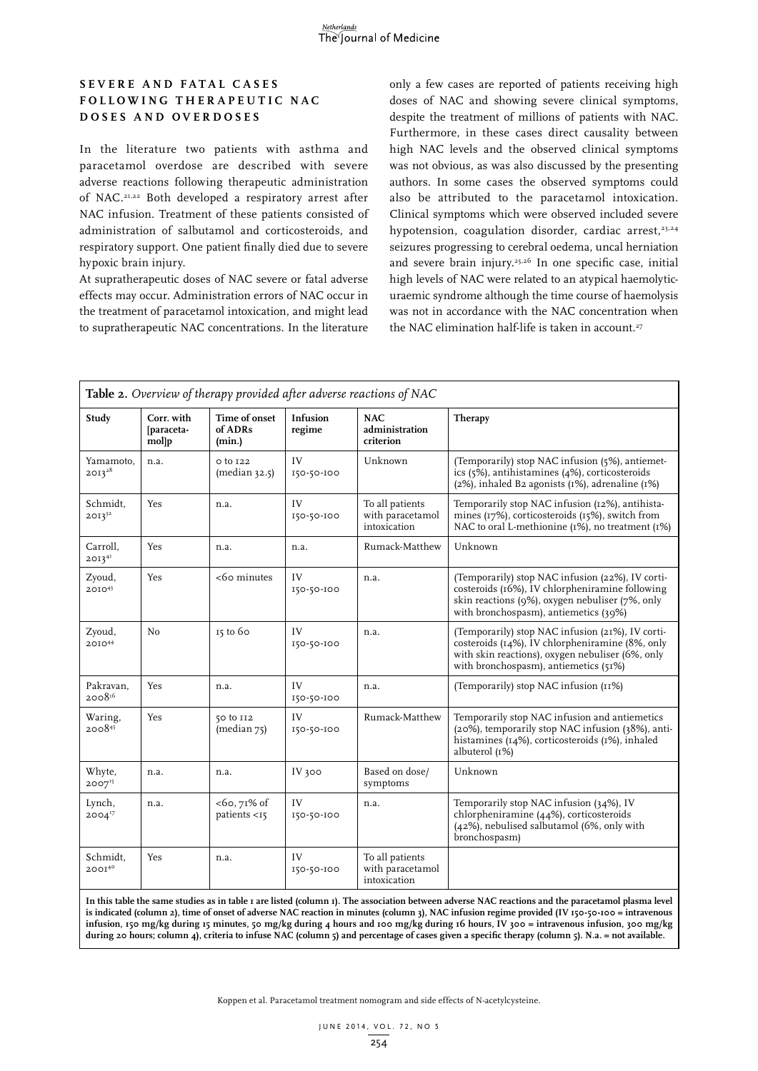## **S E V E R E A N D F A T A L C A S E S F O L L O W I N G T H E R A P E U T I C N A C DOSES AND OVERDOSES**

In the literature two patients with asthma and paracetamol overdose are described with severe adverse reactions following therapeutic administration of NAC.21,22 Both developed a respiratory arrest after NAC infusion. Treatment of these patients consisted of administration of salbutamol and corticosteroids, and respiratory support. One patient finally died due to severe hypoxic brain injury.

At supratherapeutic doses of NAC severe or fatal adverse effects may occur. Administration errors of NAC occur in the treatment of paracetamol intoxication, and might lead to supratherapeutic NAC concentrations. In the literature

only a few cases are reported of patients receiving high doses of NAC and showing severe clinical symptoms, despite the treatment of millions of patients with NAC. Furthermore, in these cases direct causality between high NAC levels and the observed clinical symptoms was not obvious, as was also discussed by the presenting authors. In some cases the observed symptoms could also be attributed to the paracetamol intoxication. Clinical symptoms which were observed included severe hypotension, coagulation disorder, cardiac arrest,<sup>23,24</sup> seizures progressing to cerebral oedema, uncal herniation and severe brain injury.25,26 In one specific case, initial high levels of NAC were related to an atypical haemolyticuraemic syndrome although the time course of haemolysis was not in accordance with the NAC concentration when the NAC elimination half-life is taken in account.<sup>27</sup>

| Study                    | Corr. with<br>[paraceta-<br>mollp | Time of onset<br>of ADRs<br>(min.) | Infusion<br>regime | <b>NAC</b><br>administration<br>criterion           | Therapy                                                                                                                                                                                          |
|--------------------------|-----------------------------------|------------------------------------|--------------------|-----------------------------------------------------|--------------------------------------------------------------------------------------------------------------------------------------------------------------------------------------------------|
| Yamamoto,<br>$2013^{28}$ | n.a.                              | o to 122<br>(median 32.5)          | IV<br>150-50-100   | Unknown                                             | (Temporarily) stop NAC infusion (5%), antiemet-<br>ics (5%), antihistamines (4%), corticosteroids<br>$(2%)$ , inhaled B2 agonists $(1%)$ , adrenaline $(1%)$                                     |
| Schmidt.<br>$20I3^{32}$  | Yes                               | n.a.                               | IV<br>150-50-100   | To all patients<br>with paracetamol<br>intoxication | Temporarily stop NAC infusion (12%), antihista-<br>mines (17%), corticosteroids (15%), switch from<br>NAC to oral L-methionine (1%), no treatment (1%)                                           |
| Carroll,<br>$2013^{41}$  | Yes                               | n.a.                               | n.a.               | Rumack-Matthew                                      | Unknown                                                                                                                                                                                          |
| Zyoud,<br>201043         | Yes                               | <60 minutes                        | IV<br>150-50-100   | n.a.                                                | (Temporarily) stop NAC infusion (22%), IV corti-<br>costeroids (16%), IV chlorpheniramine following<br>skin reactions (9%), oxygen nebuliser (7%, only<br>with bronchospasm), antiemetics (39%)  |
| Zyoud,<br>201044         | No                                | $15$ to $60$                       | IV<br>150-50-100   | n.a.                                                | (Temporarily) stop NAC infusion (21%), IV corti-<br>costeroids (14%), IV chlorpheniramine (8%, only<br>with skin reactions), oxygen nebuliser (6%, only<br>with bronchospasm), antiemetics (51%) |
| Pakravan,<br>$2008^{16}$ | Yes                               | n.a.                               | IV<br>150-50-100   | n.a.                                                | (Temporarily) stop NAC infusion (11%)                                                                                                                                                            |
| Waring,<br>200845        | Yes                               | 50 to 112<br>(median 75)           | IV<br>150-50-100   | Rumack-Matthew                                      | Temporarily stop NAC infusion and antiemetics<br>(20%), temporarily stop NAC infusion (38%), anti-<br>histamines (14%), corticosteroids (1%), inhaled<br>albuterol (1%)                          |
| Whyte,<br>$2007^{15}$    | n.a.                              | n.a.                               | IV 300             | Based on dose/<br>symptoms                          | Unknown                                                                                                                                                                                          |
| Lynch,<br>$2004^{17}$    | n.a.                              | $<$ 60, 71% of<br>patients <15     | IV<br>150-50-100   | n.a.                                                | Temporarily stop NAC infusion (34%), IV<br>chlorpheniramine (44%), corticosteroids<br>(42%), nebulised salbutamol (6%, only with<br>bronchospasm)                                                |
| Schmidt,<br>$200I^{40}$  | Yes                               | n.a.                               | IV<br>150-50-100   | To all patients<br>with paracetamol<br>intoxication |                                                                                                                                                                                                  |

**In this table the same studies as in table 1 are listed (column 1). The association between adverse NAC reactions and the paracetamol plasma level is indicated (column 2), time of onset of adverse NAC reaction in minutes (column 3), NAC infusion regime provided (IV 150-50-100 = intravenous infusion, 150 mg/kg during 15 minutes, 50 mg/kg during 4 hours and 100 mg/kg during 16 hours, IV 300 = intravenous infusion, 300 mg/kg during 20 hours; column 4), criteria to infuse NAC (column 5) and percentage of cases given a specific therapy (column 5). N.a. = not available.** 

Koppen et al. Paracetamol treatment nomogram and side effects of N-acetylcysteine.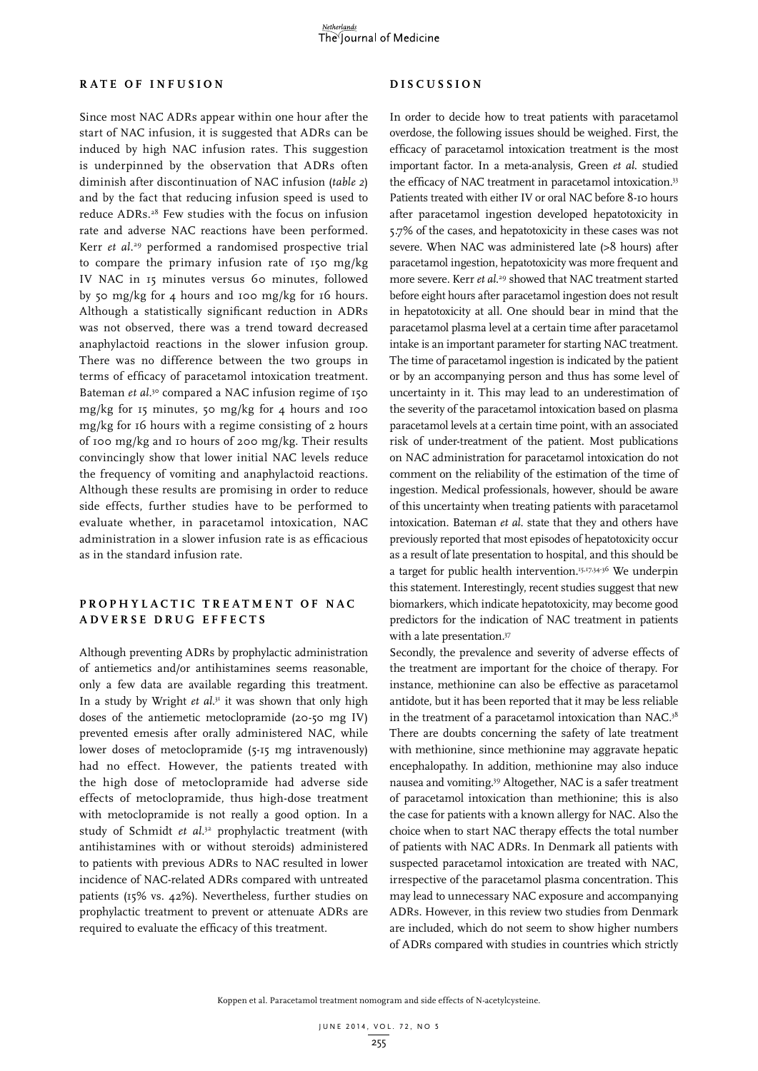## **RATE OF INFUSION**

Since most NAC ADRs appear within one hour after the start of NAC infusion, it is suggested that ADRs can be induced by high NAC infusion rates. This suggestion is underpinned by the observation that ADRs often diminish after discontinuation of NAC infusion (*table 2*) and by the fact that reducing infusion speed is used to reduce ADRs.<sup>28</sup> Few studies with the focus on infusion rate and adverse NAC reactions have been performed. Kerr *et al*. 29 performed a randomised prospective trial to compare the primary infusion rate of 150 mg/kg IV NAC in 15 minutes versus 60 minutes, followed by 50 mg/kg for 4 hours and 100 mg/kg for 16 hours. Although a statistically significant reduction in ADRs was not observed, there was a trend toward decreased anaphylactoid reactions in the slower infusion group. There was no difference between the two groups in terms of efficacy of paracetamol intoxication treatment. Bateman *et al.*<sup>30</sup> compared a NAC infusion regime of 150 mg/kg for 15 minutes, 50 mg/kg for 4 hours and 100 mg/kg for 16 hours with a regime consisting of 2 hours of 100 mg/kg and 10 hours of 200 mg/kg. Their results convincingly show that lower initial NAC levels reduce the frequency of vomiting and anaphylactoid reactions. Although these results are promising in order to reduce side effects, further studies have to be performed to evaluate whether, in paracetamol intoxication, NAC administration in a slower infusion rate is as efficacious as in the standard infusion rate.

## PROPHYLACTIC TREATMENT OF NAC **ADVERSE DRUG EFFECTS**

Although preventing ADRs by prophylactic administration of antiemetics and/or antihistamines seems reasonable, only a few data are available regarding this treatment. In a study by Wright *et al*. 31 it was shown that only high doses of the antiemetic metoclopramide (20-50 mg IV) prevented emesis after orally administered NAC, while lower doses of metoclopramide (5-15 mg intravenously) had no effect. However, the patients treated with the high dose of metoclopramide had adverse side effects of metoclopramide, thus high-dose treatment with metoclopramide is not really a good option. In a study of Schmidt *et al*. 32 prophylactic treatment (with antihistamines with or without steroids) administered to patients with previous ADRs to NAC resulted in lower incidence of NAC-related ADRs compared with untreated patients (15% vs. 42%). Nevertheless, further studies on prophylactic treatment to prevent or attenuate ADRs are required to evaluate the efficacy of this treatment.

#### **DISCUSSION**

In order to decide how to treat patients with paracetamol overdose, the following issues should be weighed. First, the efficacy of paracetamol intoxication treatment is the most important factor. In a meta-analysis, Green *et al*. studied the efficacy of NAC treatment in paracetamol intoxication.<sup>33</sup> Patients treated with either IV or oral NAC before 8-10 hours after paracetamol ingestion developed hepatotoxicity in 5.7% of the cases, and hepatotoxicity in these cases was not severe. When NAC was administered late (>8 hours) after paracetamol ingestion, hepatotoxicity was more frequent and more severe. Kerr *et al*. 29 showed that NAC treatment started before eight hours after paracetamol ingestion does not result in hepatotoxicity at all. One should bear in mind that the paracetamol plasma level at a certain time after paracetamol intake is an important parameter for starting NAC treatment. The time of paracetamol ingestion is indicated by the patient or by an accompanying person and thus has some level of uncertainty in it. This may lead to an underestimation of the severity of the paracetamol intoxication based on plasma paracetamol levels at a certain time point, with an associated risk of under-treatment of the patient. Most publications on NAC administration for paracetamol intoxication do not comment on the reliability of the estimation of the time of ingestion. Medical professionals, however, should be aware of this uncertainty when treating patients with paracetamol intoxication. Bateman *et al*. state that they and others have previously reported that most episodes of hepatotoxicity occur as a result of late presentation to hospital, and this should be a target for public health intervention.15,17,34-36 We underpin this statement. Interestingly, recent studies suggest that new biomarkers, which indicate hepatotoxicity, may become good predictors for the indication of NAC treatment in patients with a late presentation.<sup>37</sup>

Secondly, the prevalence and severity of adverse effects of the treatment are important for the choice of therapy. For instance, methionine can also be effective as paracetamol antidote, but it has been reported that it may be less reliable in the treatment of a paracetamol intoxication than NAC.<sup>38</sup> There are doubts concerning the safety of late treatment with methionine, since methionine may aggravate hepatic encephalopathy. In addition, methionine may also induce nausea and vomiting.39 Altogether, NAC is a safer treatment of paracetamol intoxication than methionine; this is also the case for patients with a known allergy for NAC. Also the choice when to start NAC therapy effects the total number of patients with NAC ADRs. In Denmark all patients with suspected paracetamol intoxication are treated with NAC, irrespective of the paracetamol plasma concentration. This may lead to unnecessary NAC exposure and accompanying ADRs. However, in this review two studies from Denmark are included, which do not seem to show higher numbers of ADRs compared with studies in countries which strictly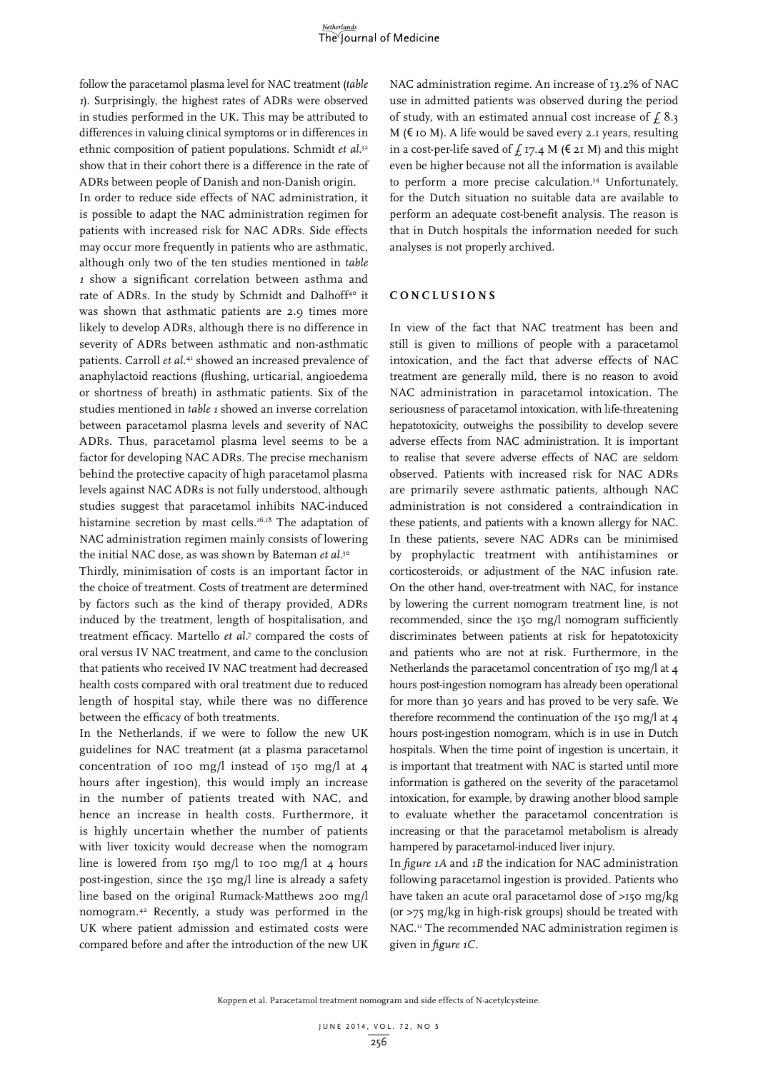follow the paracetamol plasma level for NAC treatment (*table 1*). Surprisingly, the highest rates of ADRs were observed in studies performed in the UK. This may be attributed to differences in valuing clinical symptoms or in differences in ethnic composition of patient populations. Schmidt *et al.*<sup>32</sup> show that in their cohort there is a difference in the rate of ADRs between people of Danish and non-Danish origin.

In order to reduce side effects of NAC administration, it is possible to adapt the NAC administration regimen for patients with increased risk for NAC ADRs. Side effects may occur more frequently in patients who are asthmatic, although only two of the ten studies mentioned in *table 1* show a significant correlation between asthma and rate of ADRs. In the study by Schmidt and Dalhoff<sup>40</sup> it was shown that asthmatic patients are 2.9 times more likely to develop ADRs, although there is no difference in severity of ADRs between asthmatic and non-asthmatic patients. Carroll et al.<sup>41</sup> showed an increased prevalence of anaphylactoid reactions (flushing, urticarial, angioedema or shortness of breath) in asthmatic patients. Six of the studies mentioned in *table 1* showed an inverse correlation between paracetamol plasma levels and severity of NAC ADRs. Thus, paracetamol plasma level seems to be a factor for developing NAC ADRs. The precise mechanism behind the protective capacity of high paracetamol plasma levels against NAC ADRs is not fully understood, although studies suggest that paracetamol inhibits NAC-induced histamine secretion by mast cells.<sup>16,18</sup> The adaptation of NAC administration regimen mainly consists of lowering the initial NAC dose, as was shown by Bateman *et al*. 30

Thirdly, minimisation of costs is an important factor in the choice of treatment. Costs of treatment are determined by factors such as the kind of therapy provided, ADRs induced by the treatment, length of hospitalisation, and treatment efficacy. Martello *et al*. 7 compared the costs of oral versus IV NAC treatment, and came to the conclusion that patients who received IV NAC treatment had decreased health costs compared with oral treatment due to reduced length of hospital stay, while there was no difference between the efficacy of both treatments.

In the Netherlands, if we were to follow the new UK guidelines for NAC treatment (at a plasma paracetamol concentration of 100 mg/l instead of 150 mg/l at 4 hours after ingestion), this would imply an increase in the number of patients treated with NAC, and hence an increase in health costs. Furthermore, it is highly uncertain whether the number of patients with liver toxicity would decrease when the nomogram line is lowered from 150 mg/l to 100 mg/l at 4 hours post-ingestion, since the 150 mg/l line is already a safety line based on the original Rumack-Matthews 200 mg/l nomogram.42 Recently, a study was performed in the UK where patient admission and estimated costs were compared before and after the introduction of the new UK

NAC administration regime. An increase of 13.2% of NAC use in admitted patients was observed during the period of study, with an estimated annual cost increase of  $f$  8.3 M ( $\varepsilon$  10 M). A life would be saved every 2.1 years, resulting in a cost-per-life saved of  $f$  17.4 M ( $\epsilon$  21 M) and this might even be higher because not all the information is available to perform a more precise calculation.34 Unfortunately, for the Dutch situation no suitable data are available to perform an adequate cost-benefit analysis. The reason is that in Dutch hospitals the information needed for such analyses is not properly archived.

#### **CONCLUSIONS**

In view of the fact that NAC treatment has been and still is given to millions of people with a paracetamol intoxication, and the fact that adverse effects of NAC treatment are generally mild, there is no reason to avoid NAC administration in paracetamol intoxication. The seriousness of paracetamol intoxication, with life-threatening hepatotoxicity, outweighs the possibility to develop severe adverse effects from NAC administration. It is important to realise that severe adverse effects of NAC are seldom observed. Patients with increased risk for NAC ADRs are primarily severe asthmatic patients, although NAC administration is not considered a contraindication in these patients, and patients with a known allergy for NAC. In these patients, severe NAC ADRs can be minimised by prophylactic treatment with antihistamines or corticosteroids, or adjustment of the NAC infusion rate. On the other hand, over-treatment with NAC, for instance by lowering the current nomogram treatment line, is not recommended, since the 150 mg/l nomogram sufficiently discriminates between patients at risk for hepatotoxicity and patients who are not at risk. Furthermore, in the Netherlands the paracetamol concentration of 150 mg/l at 4 hours post-ingestion nomogram has already been operational for more than 30 years and has proved to be very safe. We therefore recommend the continuation of the 150 mg/l at 4 hours post-ingestion nomogram, which is in use in Dutch hospitals. When the time point of ingestion is uncertain, it is important that treatment with NAC is started until more information is gathered on the severity of the paracetamol intoxication, for example, by drawing another blood sample to evaluate whether the paracetamol concentration is increasing or that the paracetamol metabolism is already hampered by paracetamol-induced liver injury.

In *figure 1A* and *1B* the indication for NAC administration following paracetamol ingestion is provided. Patients who have taken an acute oral paracetamol dose of >150 mg/kg (or >75 mg/kg in high-risk groups) should be treated with NAC.<sup>11</sup> The recommended NAC administration regimen is given in *figure 1C.*